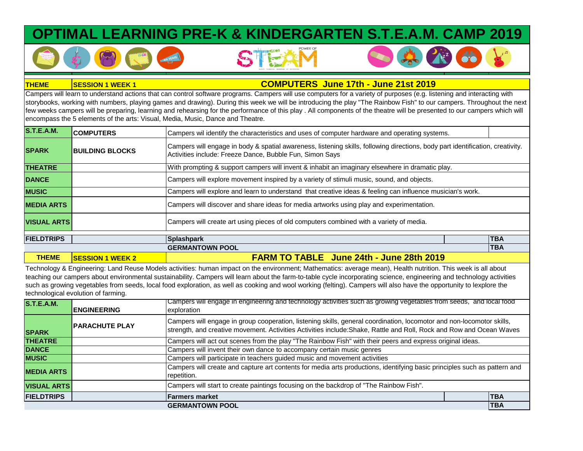## **OPTIMAL LEARNING PRE-K & KINDERGARTEN S.T.E.A.M. CAMP 2019**



**COMPUTERS June 17th - June 21st 2019**

Campers will learn to understand actions that can control software programs. Campers will use computers for a variety of purposes (e.g. listening and interacting with storybooks, working with numbers, playing games and drawing). During this week we will be introducing the play "The Rainbow Fish" to our campers. Throughout the next few weeks campers will be preparing, learning and rehearsing for the performance of this play . All components of the theatre will be presented to our campers which will encompass the 5 elements of the arts: Visual, Media, Music, Dance and Theatre.

| <b>S.T.E.A.M.</b>  | <b>COMPUTERS</b>        | Campers wil identify the characteristics and uses of computer hardware and operating systems.                                                                                              |            |
|--------------------|-------------------------|--------------------------------------------------------------------------------------------------------------------------------------------------------------------------------------------|------------|
| <b>SPARK</b>       | <b>BUILDING BLOCKS</b>  | Campers will engage in body & spatial awareness, listening skills, following directions, body part identification, creativity.<br>Activities include: Freeze Dance, Bubble Fun, Simon Says |            |
| <b>THEATRE</b>     |                         | With prompting & support campers will invent & inhabit an imaginary elsewhere in dramatic play.                                                                                            |            |
| <b>DANCE</b>       |                         | Campers will explore movement inspired by a variety of stimuli music, sound, and objects.                                                                                                  |            |
| <b>MUSIC</b>       |                         | Campers will explore and learn to understand that creative ideas & feeling can influence musician's work.                                                                                  |            |
| <b>MEDIA ARTS</b>  |                         | Campers will discover and share ideas for media artworks using play and experimentation.                                                                                                   |            |
| <b>VISUAL ARTS</b> |                         | Campers will create art using pieces of old computers combined with a variety of media.                                                                                                    |            |
| <b>FIELDTRIPS</b>  |                         | Splashpark                                                                                                                                                                                 | <b>TBA</b> |
|                    |                         | <b>GERMANTOWN POOL</b>                                                                                                                                                                     | <b>TBA</b> |
| <b>THEME</b>       | <b>SESSION 1 WEEK 2</b> | <b>FARM TO TABLE</b> June 24th - June 28th 2019                                                                                                                                            |            |

Technology & Engineering: Land Reuse Models activities: human impact on the environment; Mathematics: average mean), Health nutrition. This week is all about teaching our campers about environmental sustainability. Campers will learn about the farm-to-table cycle incorporating science, engineering and technology activities such as growing vegetables from seeds, local food exploration, as well as cooking and wool working (felting). Campers will also have the opportunity to lexplore the technological evolution of farming.

|                    |                       | Campers will engage in engineering and technology activities such as growing vegetables from seeds, and local food                                                                                                                            |            |
|--------------------|-----------------------|-----------------------------------------------------------------------------------------------------------------------------------------------------------------------------------------------------------------------------------------------|------------|
| <b>S.T.E.A.M.</b>  |                       |                                                                                                                                                                                                                                               |            |
|                    | <b>ENGINEERING</b>    | exploration                                                                                                                                                                                                                                   |            |
| <b>SPARK</b>       | <b>PARACHUTE PLAY</b> | Campers will engage in group cooperation, listening skills, general coordination, locomotor and non-locomotor skills,<br>strength, and creative movement. Activities Activities include: Shake, Rattle and Roll, Rock and Row and Ocean Waves |            |
| <b>THEATRE</b>     |                       | Campers will act out scenes from the play "The Rainbow Fish" with their peers and express original ideas.                                                                                                                                     |            |
| <b>DANCE</b>       |                       | Campers will invent their own dance to accompany certain music genres                                                                                                                                                                         |            |
| <b>MUSIC</b>       |                       | Campers will participate in teachers guided music and movement activities                                                                                                                                                                     |            |
| <b>MEDIA ARTS</b>  |                       | Campers will create and capture art contents for media arts productions, identifying basic principles such as pattern and<br>repetition.                                                                                                      |            |
| <b>VISUAL ARTS</b> |                       | Campers will start to create paintings focusing on the backdrop of "The Rainbow Fish".                                                                                                                                                        |            |
| <b>FIELDTRIPS</b>  |                       | <b>Farmers market</b>                                                                                                                                                                                                                         | <b>TBA</b> |
|                    |                       | <b>GERMANTOWN POOL</b>                                                                                                                                                                                                                        | <b>TBA</b> |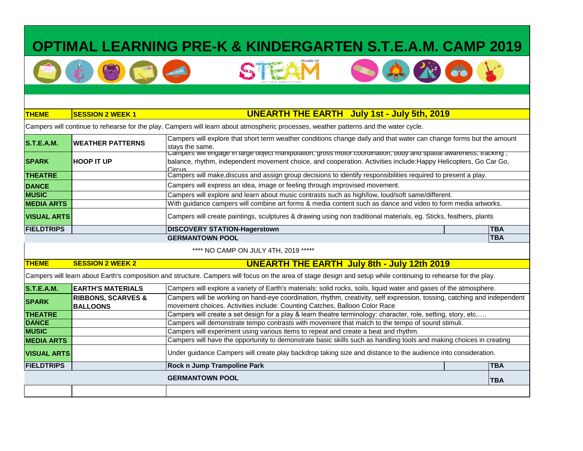# **OPTIMAL LEARNING PRE-K & KINDERGARTEN S.T.E.A.M. CAMP 2019**

GTE





### **THEME SESSION 2 WEEK 1**

**THEME SESSION 2 WEEK 2**

### **UNEARTH THE EARTH July 1st - July 5th, 2019**

Campers will continue to rehearse for the play. Campers will learn about atmospheric processes, weather patterns and the water cycle.

|                    |                         | <b>GERMANTOWN POOL</b>                                                                                                                                                                                                                                 |  | <b>ITBA</b> |
|--------------------|-------------------------|--------------------------------------------------------------------------------------------------------------------------------------------------------------------------------------------------------------------------------------------------------|--|-------------|
| <b>FIELDTRIPS</b>  |                         | <b>DISCOVERY STATION-Hagerstown</b>                                                                                                                                                                                                                    |  | <b>ITBA</b> |
| <b>VISUAL ARTS</b> |                         | Campers will create paintings, sculptures & drawing using non traditional materials, eg. Sticks, feathers, plants                                                                                                                                      |  |             |
| <b>MEDIA ARTS</b>  |                         | With guidance campers will combine art forms & media content such as dance and video to form media artworks.                                                                                                                                           |  |             |
| <b>IMUSIC</b>      |                         | Campers will explore and learn about music contrasts such as high/low, loud/soft same/different.                                                                                                                                                       |  |             |
| <b>DANCE</b>       |                         | Campers will express an idea, image or feeling through improvised movement.                                                                                                                                                                            |  |             |
| <b>THEATRE</b>     |                         | Campers will make, discuss and assign group decisions to identify responsibilities required to present a play.                                                                                                                                         |  |             |
| <b>SPARK</b>       | <b>HOOP IT UP</b>       | <u>Campers will engage in large object manipulation, gross motor coordination, body and spatial awareness, tracking,</u><br>balance, rhythm, independent movement choice, and cooperation. Activities include: Happy Helicopters, Go Car Go,<br>Circus |  |             |
| <b>S.T.E.A.M.</b>  | <b>WEATHER PATTERNS</b> | Campers will explore that short term weather conditions change daily and that water can change forms but the amount<br>stays the same.                                                                                                                 |  |             |

\*\*\*\* NO CAMP ON JULY 4TH, 2019 \*\*\*\*\*

### **UNEARTH THE EARTH July 8th - July 12th 2019**

Campers will learn about Earth's composition and structure. Campers will focus on the area of stage design and setup while continuing to rehearse for the play.

|                    |                               | <b>GERMANTOWN POOL</b>                                                                                                   |  | <b>TBA</b> |
|--------------------|-------------------------------|--------------------------------------------------------------------------------------------------------------------------|--|------------|
| <b>FIELDTRIPS</b>  |                               | <b>Rock n Jump Trampoline Park</b>                                                                                       |  | <b>TBA</b> |
| <b>VISUAL ARTS</b> |                               | Under guidance Campers will create play backdrop taking size and distance to the audience into consideration.            |  |            |
| <b>MEDIA ARTS</b>  |                               | Campers will have the opportunity to demonstrate basic skills such as handling tools and making choices in creating      |  |            |
| <b>MUSIC</b>       |                               | Campers will experiment using various items to repeat and create a beat and rhythm.                                      |  |            |
| <b>DANCE</b>       |                               | Campers will demonstrate tempo contrasts with movement that match to the tempo of sound stimuli.                         |  |            |
| <b>THEATRE</b>     |                               | Campers will create a set design for a play & learn theatre terminology: character, role, setting, story, etc            |  |            |
| <b>SPARK</b>       | <b>BALLOONS</b>               | movement choices. Activities include: Counting Catches, Balloon Color Race                                               |  |            |
|                    | <b>RIBBONS, SCARVES &amp;</b> | Campers will be working on hand-eye coordination, rhythm, creativity, self expression, tossing, catching and independent |  |            |
| <b>S.T.E.A.M.</b>  | <b>EARTH'S MATERIALS</b>      | Campers will explore a variety of Earth's materials: solid rocks, soils, liquid water and gases of the atmosphere.       |  |            |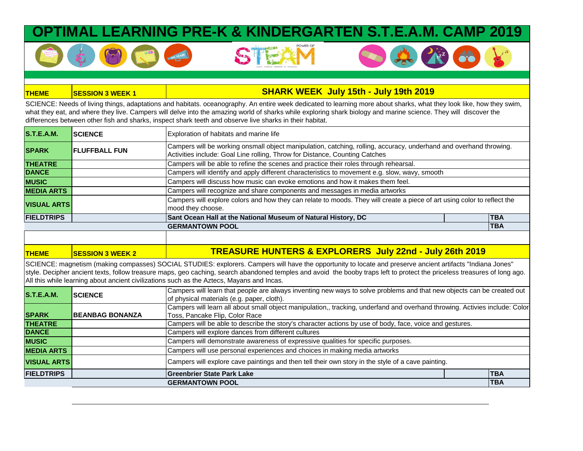### **IING PRE-K & KINDERGARTEN S.T**

#### **THEME SESSION 3 WEEK 1 SHARK WEEK July 15th - July 19th 2019**

SCIENCE: Needs of living things, adaptations and habitats. oceanography. An entire week dedicated to learning more about sharks, what they look like, how they swim, what they eat, and where they live. Campers will delve into the amazing world of sharks while exploring shark biology and marine science. They will discover the differences between other fish and sharks, inspect shark teeth and observe live sharks in their habitat.

| <b>S.T.E.A.M.</b>  | <b>SCIENCE</b>        | Exploration of habitats and marine life                                                                                                                                                           |            |
|--------------------|-----------------------|---------------------------------------------------------------------------------------------------------------------------------------------------------------------------------------------------|------------|
| <b>SPARK</b>       | <b>IFLUFFBALL FUN</b> | Campers will be working onsmall object manipulation, catching, rolling, accuracy, underhand and overhand throwing.<br>Activities include: Goal Line rolling, Throw for Distance, Counting Catches |            |
| <b>THEATRE</b>     |                       | Campers will be able to refine the scenes and practice their roles through rehearsal.                                                                                                             |            |
| <b>DANCE</b>       |                       | Campers will identify and apply different characteristics to movement e.g. slow, wavy, smooth                                                                                                     |            |
| <b>MUSIC</b>       |                       | Campers will discuss how music can evoke emotions and how it makes them feel.                                                                                                                     |            |
| <b>MEDIA ARTS</b>  |                       | Campers will recognize and share components and messages in media artworks                                                                                                                        |            |
| <b>VISUAL ARTS</b> |                       | Campers will explore colors and how they can relate to moods. They will create a piece of art using color to reflect the<br>mood they choose.                                                     |            |
| <b>FIELDTRIPS</b>  |                       | Sant Ocean Hall at the National Museum of Natural History, DC                                                                                                                                     | <b>TBA</b> |
|                    |                       | <b>GERMANTOWN POOL</b>                                                                                                                                                                            | <b>TBA</b> |

SCIENCE: magnetism (making compasses) SOCIAL STUDIES: explorers. Campers will have the opportunity to locate and preserve ancient artifacts "Indiana Jones" style. Decipher ancient texts, follow treasure maps, geo caching, search abandoned temples and avoid the booby traps left to protect the priceless treasures of long ago. All this while learning about ancient civilizations such as the Aztecs, Mayans and Incas.

|                    |                         | <b>GERMANTOWN POOL</b>                                                                                                      | <b>TBA</b> |  |
|--------------------|-------------------------|-----------------------------------------------------------------------------------------------------------------------------|------------|--|
| <b>FIELDTRIPS</b>  |                         | <b>Greenbrier State Park Lake</b>                                                                                           | <b>TBA</b> |  |
| <b>VISUAL ARTS</b> |                         | Campers will explore cave paintings and then tell their own story in the style of a cave painting.                          |            |  |
| <b>MEDIA ARTS</b>  |                         | Campers will use personal experiences and choices in making media artworks                                                  |            |  |
| <b>MUSIC</b>       |                         | Campers will demonstrate awareness of expressive qualities for specific purposes.                                           |            |  |
| <b>DANCE</b>       |                         | Campers will explore dances from different cultures                                                                         |            |  |
| <b>THEATRE</b>     |                         | Campers will be able to describe the story's character actions by use of body, face, voice and gestures.                    |            |  |
| <b>SPARK</b>       | <b>IBEANBAG BONANZA</b> | Toss, Pancake Flip, Color Race                                                                                              |            |  |
|                    |                         | Campers will learn all about small object manipulation,, tracking, underfand and overhand throwing. Activies include: Color |            |  |
| <b>S.T.E.A.M.</b>  | <b>ISCIENCE</b>         | of physical materials (e.g. paper, cloth).                                                                                  |            |  |
|                    |                         | Campers will learn that people are always inventing new ways to solve problems and that new objects can be created out      |            |  |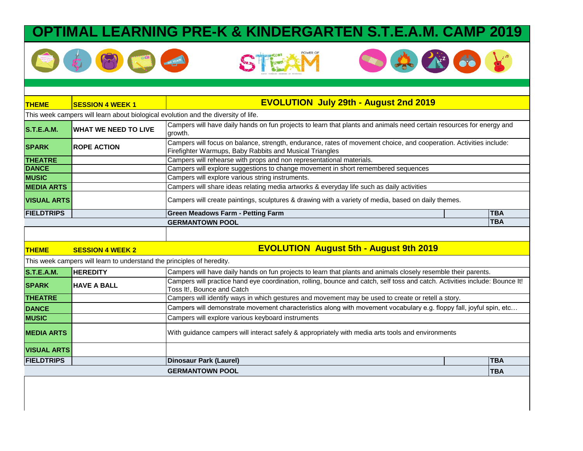## **MAL LEARNING PRE-K & KINDERGARTEN S.T.E.A.M. CAMP 2019**